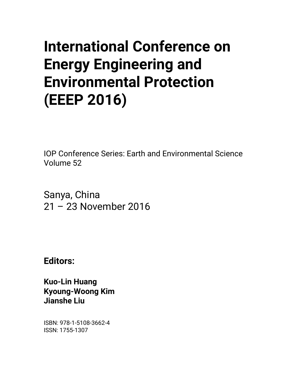# **International Conference on Energy Engineering and Environmental Protection (EEEP 2016)**

IOP Conference Series: Earth and Environmental Science Volume 52

Sanya, China 21 – 23 November 2016

**Editors:** 

**Kuo-Lin Huang Kyoung-Woong Kim Jianshe Liu** 

ISBN: 978-1-5108-3662-4 ISSN: 1755-1307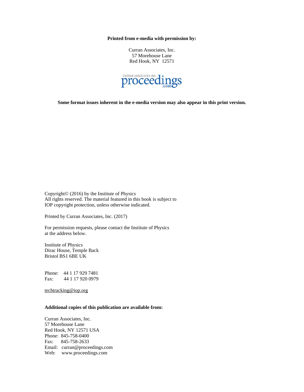**Printed from e-media with permission by:** 

Curran Associates, Inc. 57 Morehouse Lane Red Hook, NY 12571



**Some format issues inherent in the e-media version may also appear in this print version.** 

Copyright© (2016) by the Institute of Physics All rights reserved. The material featured in this book is subject to IOP copyright protection, unless otherwise indicated.

Printed by Curran Associates, Inc. (2017)

For permission requests, please contact the Institute of Physics at the address below.

Institute of Physics Dirac House, Temple Back Bristol BS1 6BE UK

Phone: 44 1 17 929 7481 Fax: 44 1 17 920 0979

techtracking@iop.org

#### **Additional copies of this publication are available from:**

Curran Associates, Inc. 57 Morehouse Lane Red Hook, NY 12571 USA Phone: 845-758-0400 Fax: 845-758-2633 Email: curran@proceedings.com Web: www.proceedings.com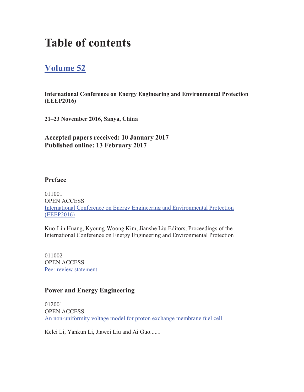## **Table of contents**

### **Volume 52**

**International Conference on Energy Engineering and Environmental Protection (EEEP2016)** 

**21–23 November 2016, Sanya, China**

**Accepted papers received: 10 January 2017 Published online: 13 February 2017** 

#### **Preface**

011001 OPEN ACCESS International Conference on Energy Engineering and Environmental Protection (EEEP2016)

Kuo-Lin Huang, Kyoung-Woong Kim, Jianshe Liu Editors, Proceedings of the International Conference on Energy Engineering and Environmental Protection

011002 OPEN ACCESS Peer review statement

#### **Power and Energy Engineering**

012001 OPEN ACCESS An non-uniformity voltage model for proton exchange membrane fuel cell

Kelei Li, Yankun Li, Jiawei Liu and Ai Guo.....1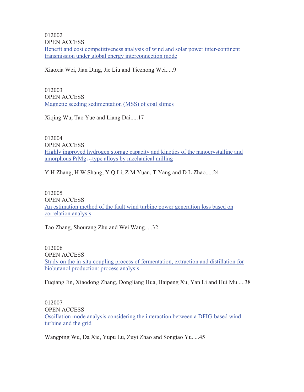Benefit and cost competitiveness analysis of wind and solar power inter-continent transmission under global energy interconnection mode 012002 OPEN ACCESS

Xiaoxia Wei, Jian Ding, Jie Liu and Tiezhong Wei.....9

012003 OPEN ACCESS Magnetic seeding sedimentation (MSS) of coal slimes

Xiqing Wu, Tao Yue and Liang Dai.....17

012004 OPEN ACCESS Highly improved hydrogen storage capacity and kinetics of the nanocrystalline and amorphous  $PrMg_{12}$ -type alloys by mechanical milling

Y H Zhang, H W Shang, Y Q Li, Z M Yuan, T Yang and D L Zhao.....24

012005 OPEN ACCESS An estimation method of the fault wind turbine power generation loss based on correlation analysis

Tao Zhang, Shourang Zhu and Wei Wang.....32

012006 OPEN ACCESS Study on the in-situ coupling process of fermentation, extraction and distillation for biobutanol production: process analysis

Fuqiang Jin, Xiaodong Zhang, Dongliang Hua, Haipeng Xu, Yan Li and Hui Mu.....38

012007 OPEN ACCESS Oscillation mode analysis considering the interaction between a DFIG-based wind turbine and the grid

Wangping Wu, Da Xie, Yupu Lu, Zuyi Zhao and Songtao Yu.....45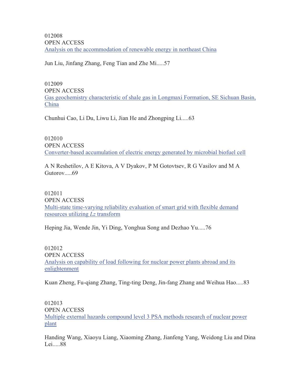OPEN ACCESS Analysis on the accommodation of renewable energy in northeast China 012008

Jun Liu, Jinfang Zhang, Feng Tian and Zhe Mi.....57

012009 OPEN ACCESS Gas geochemistry characteristic of shale gas in Longmaxi Formation, SE Sichuan Basin, China

Chunhui Cao, Li Du, Liwu Li, Jian He and Zhongping Li.....63

012010 OPEN ACCESS Converter-based accumulation of electric energy generated by microbial biofuel cell

A N Reshetilov, A E Kitova, A V Dyakov, P M Gotovtsev, R G Vasilov and M A Gutorov.....69

012011 OPEN ACCESS Multi-state time-varying reliability evaluation of smart grid with flexible demand resources utilizing *Lz* transform

Heping Jia, Wende Jin, Yi Ding, Yonghua Song and Dezhao Yu.....76

012012 OPEN ACCESS Analysis on capability of load following for nuclear power plants abroad and its enlightenment

Kuan Zheng, Fu-qiang Zhang, Ting-ting Deng, Jin-fang Zhang and Weihua Hao.....83

012013 OPEN ACCESS Multiple external hazards compound level 3 PSA methods research of nuclear power plant

Handing Wang, Xiaoyu Liang, Xiaoming Zhang, Jianfeng Yang, Weidong Liu and Dina Lei.....88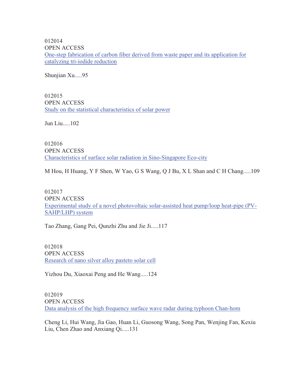012014 OPEN ACCESS One-step fabrication of carbon fiber derived from waste paper and its application for catalyzing tri-iodide reduction

Shunjian Xu.....95

012015 OPEN ACCESS Study on the statistical characteristics of solar power

Jun Liu.....102

012016 OPEN ACCESS Characteristics of surface solar radiation in Sino-Singapore Eco-city

M Hou, H Huang, Y F Shen, W Yao, G S Wang, Q J Bu, X L Shan and C H Chang.....109

012017 OPEN ACCESS Experimental study of a novel photovoltaic solar-assisted heat pump/loop heat-pipe (PV-SAHP/LHP) system

Tao Zhang, Gang Pei, Qunzhi Zhu and Jie Ji.....117

012018 OPEN ACCESS Research of nano silver alloy pasteto solar cell

Yizhou Du, Xiaoxai Peng and He Wang.....124

012019 OPEN ACCESS Data analysis of the high frequency surface wave radar during typhoon Chan-hom

Cheng Li, Hui Wang, Jia Gao, Huan Li, Guosong Wang, Song Pan, Wenjing Fan, Kexiu Liu, Chen Zhao and Anxiang Qi.....131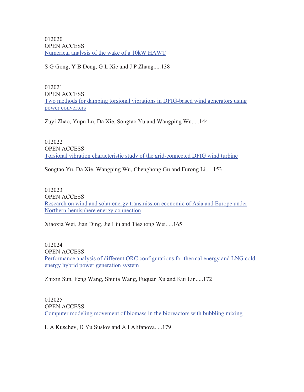012020 OPEN ACCESS Numerical analysis of the wake of a 10kW HAWT

S G Gong, Y B Deng, G L Xie and J P Zhang.....138

012021 OPEN ACCESS Two methods for damping torsional vibrations in DFIG-based wind generators using power converters

Zuyi Zhao, Yupu Lu, Da Xie, Songtao Yu and Wangping Wu.....144

012022 OPEN ACCESS Torsional vibration characteristic study of the grid-connected DFIG wind turbine

Songtao Yu, Da Xie, Wangping Wu, Chenghong Gu and Furong Li.....153

012023 OPEN ACCESS Research on wind and solar energy transmission economic of Asia and Europe under Northern-hemisphere energy connection

Xiaoxia Wei, Jian Ding, Jie Liu and Tiezhong Wei.....165

012024 OPEN ACCESS Performance analysis of different ORC configurations for thermal energy and LNG cold energy hybrid power generation system

Zhixin Sun, Feng Wang, Shujia Wang, Fuquan Xu and Kui Lin.....172

012025 OPEN ACCESS Computer modeling movement of biomass in the bioreactors with bubbling mixing

L A Kuschev, D Yu Suslov and A I Alifanova.....179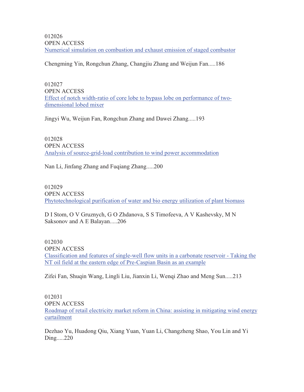OPEN ACCESS Numerical simulation on combustion and exhaust emission of staged combustor 012026

Chengming Yin, Rongchun Zhang, Changjiu Zhang and Weijun Fan.....186

012027 OPEN ACCESS Effect of notch width-ratio of core lobe to bypass lobe on performance of twodimensional lobed mixer

Jingyi Wu, Weijun Fan, Rongchun Zhang and Dawei Zhang.....193

012028 OPEN ACCESS Analysis of source-grid-load contribution to wind power accommodation

Nan Li, Jinfang Zhang and Fuqiang Zhang.....200

012029 OPEN ACCESS Phytotechnological purification of water and bio energy utilization of plant biomass

D I Stom, O V Gruznych, G O Zhdanova, S S Timofeeva, A V Kashevsky, M N Saksonov and A E Balayan.....206

012030 OPEN ACCESS Classification and features of single-well flow units in a carbonate reservoir - Taking the NT oil field at the eastern edge of Pre-Caspian Basin as an example

Zifei Fan, Shuqin Wang, Lingli Liu, Jianxin Li, Wenqi Zhao and Meng Sun.....213

012031 OPEN ACCESS Roadmap of retail electricity market reform in China: assisting in mitigating wind energy curtailment

Dezhao Yu, Huadong Qiu, Xiang Yuan, Yuan Li, Changzheng Shao, You Lin and Yi Ding.....220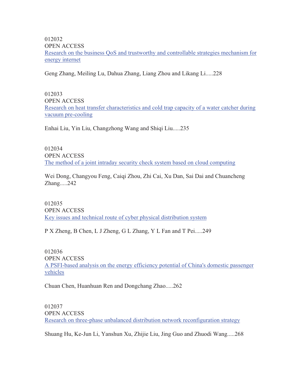012032 OPEN ACCESS Research on the business QoS and trustworthy and controllable strategies mechanism for energy internet

Geng Zhang, Meiling Lu, Dahua Zhang, Liang Zhou and Likang Li.....228

012033 OPEN ACCESS Research on heat transfer characteristics and cold trap capacity of a water catcher during vacuum pre-cooling

Enhai Liu, Yin Liu, Changzhong Wang and Shiqi Liu.....235

012034 OPEN ACCESS The method of a joint intraday security check system based on cloud computing

Wei Dong, Changyou Feng, Caiqi Zhou, Zhi Cai, Xu Dan, Sai Dai and Chuancheng Zhang.....242

012035 OPEN ACCESS Key issues and technical route of cyber physical distribution system

P X Zheng, B Chen, L J Zheng, G L Zhang, Y L Fan and T Pei.....249

012036 OPEN ACCESS A PSFI-based analysis on the energy efficiency potential of China's domestic passenger vehicles

Chuan Chen, Huanhuan Ren and Dongchang Zhao.....262

012037 OPEN ACCESS Research on three-phase unbalanced distribution network reconfiguration strategy

Shuang Hu, Ke-Jun Li, Yanshun Xu, Zhijie Liu, Jing Guo and Zhuodi Wang.....268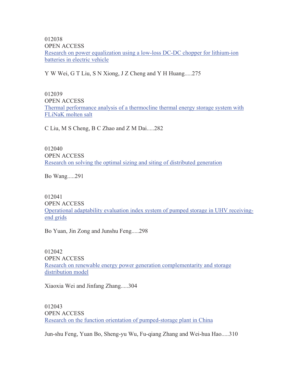012038 OPEN ACCESS Research on power equalization using a low-loss DC-DC chopper for lithium-ion batteries in electric vehicle

Y W Wei, G T Liu, S N Xiong, J Z Cheng and Y H Huang.....275

012039 OPEN ACCESS Thermal performance analysis of a thermocline thermal energy storage system with FLiNaK molten salt

C Liu, M S Cheng, B C Zhao and Z M Dai.....282

012040 OPEN ACCESS Research on solving the optimal sizing and siting of distributed generation

Bo Wang.....291

012041 OPEN ACCESS Operational adaptability evaluation index system of pumped storage in UHV receivingend grids

Bo Yuan, Jin Zong and Junshu Feng.....298

012042 OPEN ACCESS Research on renewable energy power generation complementarity and storage distribution model

Xiaoxia Wei and Jinfang Zhang.....304

012043 OPEN ACCESS Research on the function orientation of pumped-storage plant in China

Jun-shu Feng, Yuan Bo, Sheng-yu Wu, Fu-qiang Zhang and Wei-hua Hao.....310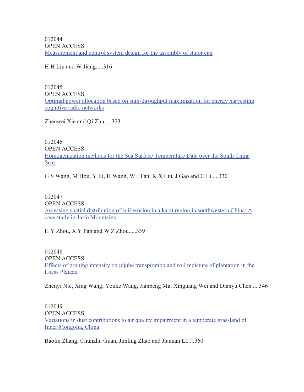012044 OPEN ACCESS Measurement and control system design for the assembly of stator can

H H Liu and W Jiang.....316

012045 OPEN ACCESS Optimal power allocation based on sum-throughput maximization for energy harvesting cognitive radio networks

Zhenwei Xie and Qi Zhu.....323

012046 OPEN ACCESS Homogenization methods for the Sea Surface Temperature Data over the South China **Seas** 

G S Wang, M Hou, Y Li, H Wang, W J Fan, K X Liu, J Gao and C Li.....330

012047 OPEN ACCESS Assessing spatial distribution of soil erosion in a karst region in southwestern China: A case study in Jinfo Mountains

H Y Zhou, X Y Pan and W Z Zhou.....339

012048 OPEN ACCESS Effects of pruning intensity on jujube transpiration and soil moisture of plantation in the Loess Plateau

Zhenyi Nie, Xing Wang, Youke Wang, Jianpeng Ma, Xinguang Wei and Dianyu Chen.....346

012049 OPEN ACCESS Variations in dust contributions to air quality impairment in a temperate grassland of Inner Mongolia, China

Baolin Zhang, Chunzhu Guan, Junling Zhao and Jiannan Li.....360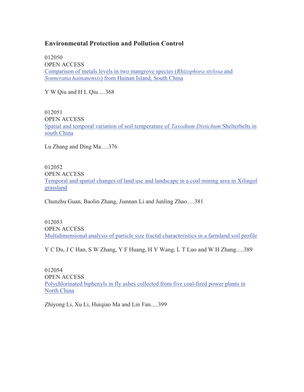#### **Environmental Protection and Pollution Control**

012050 OPEN ACCESS Comparison of metals levels in two mangrove species (*Rhizophora stylosa* and *Sonneratia hainanensis*) from Hainan Island, South China

Y W Qiu and H L Qiu.....368

012051 OPEN ACCESS Spatial and temporal variation of soil temperature of *Taxodium Distichum* Shelterbelts in south China

Lu Zhang and Ding Ma.....376

012052 OPEN ACCESS Temporal and spatial changes of land use and landscape in a coal mining area in Xilingol grassland

Chunzhu Guan, Baolin Zhang, Jiannan Li and Junling Zhao.....381

012053 OPEN ACCESS Multidimensional analysis of particle size fractal characteristics in a farmland soil profile

Y C Du, J C Han, S W Zhang, Y F Huang, H Y Wang, L T Luo and W H Zhang.....389

012054 OPEN ACCESS Polychlorinated biphenyls in fly ashes collected from five coal-fired power plants in North China

Zhiyong Li, Xu Li, Huiqiao Ma and Lin Fan.....399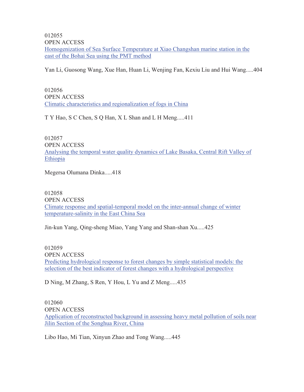Homogenization of Sea Surface Temperature at Xiao Changshan marine station in the east of the Bohai Sea using the PMT method 012055 OPEN ACCESS

Yan Li, Guosong Wang, Xue Han, Huan Li, Wenjing Fan, Kexiu Liu and Hui Wang.....404

012056 OPEN ACCESS Climatic characteristics and regionalization of fogs in China

T Y Hao, S C Chen, S Q Han, X L Shan and L H Meng.....411

012057 OPEN ACCESS Analysing the temporal water quality dynamics of Lake Basaka, Central Rift Valley of Ethiopia

Megersa Olumana Dinka.....418

012058 OPEN ACCESS Climate response and spatial-temporal model on the inter-annual change of winter temperature-salinity in the East China Sea

Jin-kun Yang, Qing-sheng Miao, Yang Yang and Shan-shan Xu.....425

012059 OPEN ACCESS Predicting hydrological response to forest changes by simple statistical models: the selection of the best indicator of forest changes with a hydrological perspective

D Ning, M Zhang, S Ren, Y Hou, L Yu and Z Meng.....435

012060 OPEN ACCESS Application of reconstructed background in assessing heavy metal pollution of soils near Jilin Section of the Songhua River, China

Libo Hao, Mi Tian, Xinyun Zhao and Tong Wang.....445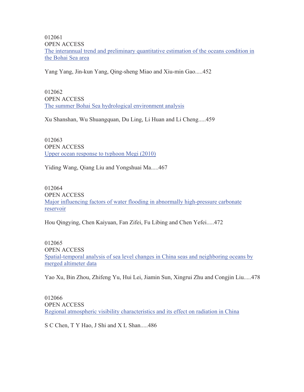OPEN ACCESS The interannual trend and preliminary quantitative estimation of the oceans condition in the Bohai Sea area 012061

Yang Yang, Jin-kun Yang, Qing-sheng Miao and Xiu-min Gao.....452

012062 OPEN ACCESS The summer Bohai Sea hydrological environment analysis

Xu Shanshan, Wu Shuangquan, Du Ling, Li Huan and Li Cheng.....459

012063 OPEN ACCESS Upper ocean response to typhoon Megi (2010)

Yiding Wang, Qiang Liu and Yongshuai Ma.....467

012064 OPEN ACCESS Major influencing factors of water flooding in abnormally high-pressure carbonate reservoir

Hou Qingying, Chen Kaiyuan, Fan Zifei, Fu Libing and Chen Yefei.....472

012065 OPEN ACCESS Spatial-temporal analysis of sea level changes in China seas and neighboring oceans by merged altimeter data

Yao Xu, Bin Zhou, Zhifeng Yu, Hui Lei, Jiamin Sun, Xingrui Zhu and Congjin Liu.....478

012066 OPEN ACCESS Regional atmospheric visibility characteristics and its effect on radiation in China

S C Chen, T Y Hao, J Shi and X L Shan.....486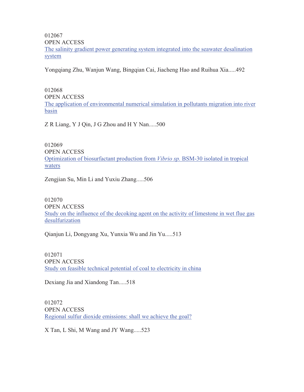The salinity gradient power generating system integrated into the seawater desalination system 012067 OPEN ACCESS

Yongqiang Zhu, Wanjun Wang, Bingqian Cai, Jiacheng Hao and Ruihua Xia.....492

012068 OPEN ACCESS The application of environmental numerical simulation in pollutants migration into river basin

Z R Liang, Y J Qin, J G Zhou and H Y Nan.....500

012069 OPEN ACCESS Optimization of biosurfactant production from *Vibrio sp.* BSM-30 isolated in tropical waters

Zengjian Su, Min Li and Yuxiu Zhang.....506

012070 OPEN ACCESS Study on the influence of the decoking agent on the activity of limestone in wet flue gas desulfurization

Qianjun Li, Dongyang Xu, Yunxia Wu and Jin Yu.....513

012071 OPEN ACCESS Study on feasible technical potential of coal to electricity in china

Dexiang Jia and Xiandong Tan.....518

012072 OPEN ACCESS Regional sulfur dioxide emissions: shall we achieve the goal?

X Tan, L Shi, M Wang and JY Wang.....523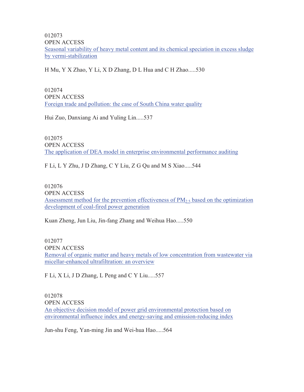Seasonal variability of heavy metal content and its chemical speciation in excess sludge by vermi-stabilization 012073 OPEN ACCESS

H Mu, Y X Zhao, Y Li, X D Zhang, D L Hua and C H Zhao.....530

012074 OPEN ACCESS Foreign trade and pollution: the case of South China water quality

Hui Zuo, Danxiang Ai and Yuling Lin.....537

012075 OPEN ACCESS The application of DEA model in enterprise environmental performance auditing

F Li, L Y Zhu, J D Zhang, C Y Liu, Z G Qu and M S Xiao.....544

012076 OPEN ACCESS Assessment method for the prevention effectiveness of  $PM<sub>2.5</sub>$  based on the optimization development of coal-fired power generation

Kuan Zheng, Jun Liu, Jin-fang Zhang and Weihua Hao.....550

012077 OPEN ACCESS Removal of organic matter and heavy metals of low concentration from wastewater via micellar-enhanced ultrafiltration: an overview

F Li, X Li, J D Zhang, L Peng and C Y Liu.....557

012078 OPEN ACCESS An objective decision model of power grid environmental protection based on environmental influence index and energy-saving and emission-reducing index

Jun-shu Feng, Yan-ming Jin and Wei-hua Hao.....564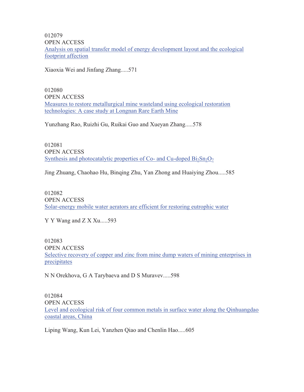Analysis on spatial transfer model of energy development layout and the ecological footprint affection 012079 OPEN ACCESS

Xiaoxia Wei and Jinfang Zhang.....571

012080 OPEN ACCESS Measures to restore metallurgical mine wasteland using ecological restoration technologies: A case study at Longnan Rare Earth Mine

Yunzhang Rao, Ruizhi Gu, Ruikai Guo and Xueyan Zhang.....578

012081 OPEN ACCESS Synthesis and photocatalytic properties of Co- and Cu-doped  $Bi<sub>2</sub>Sn<sub>2</sub>O<sub>7</sub>$ 

Jing Zhuang, Chaohao Hu, Binqing Zhu, Yan Zhong and Huaiying Zhou.....585

012082 OPEN ACCESS Solar-energy mobile water aerators are efficient for restoring eutrophic water

Y Y Wang and Z X Xu.....593

012083 OPEN ACCESS Selective recovery of copper and zinc from mine dump waters of mining enterprises in precipitates

N N Orekhova, G A Tarybaeva and D S Muravev.....598

012084 OPEN ACCESS Level and ecological risk of four common metals in surface water along the Qinhuangdao coastal areas, China

Liping Wang, Kun Lei, Yanzhen Qiao and Chenlin Hao.....605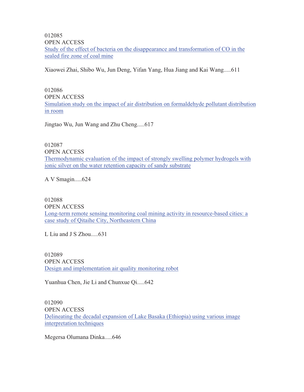Study of the effect of bacteria on the disappearance and transformation of CO in the sealed fire zone of coal mine 012085 OPEN ACCESS

Xiaowei Zhai, Shibo Wu, Jun Deng, Yifan Yang, Hua Jiang and Kai Wang.....611

012086 OPEN ACCESS Simulation study on the impact of air distribution on formaldehyde pollutant distribution in room

Jingtao Wu, Jun Wang and Zhu Cheng.....617

012087 OPEN ACCESS Thermodynamic evaluation of the impact of strongly swelling polymer hydrogels with ionic silver on the water retention capacity of sandy substrate

A V Smagin.....624

012088 OPEN ACCESS Long-term remote sensing monitoring coal mining activity in resource-based cities: a case study of Qitaihe City, Northeastern China

L Liu and J S Zhou.....631

012089 OPEN ACCESS Design and implementation air quality monitoring robot

Yuanhua Chen, Jie Li and Chunxue Qi.....642

012090 OPEN ACCESS Delineating the decadal expansion of Lake Basaka (Ethiopia) using various image interpretation techniques

Megersa Olumana Dinka.....646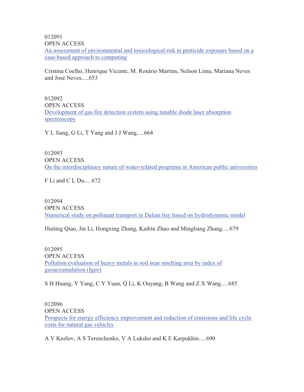012091

OPEN ACCESS

An assessment of environmental and toxicological risk to pesticide exposure based on a case-based approach to computing

Cristina Coelho, Henrique Vicente, M. Rosário Martins, Nelson Lima, Mariana Neves and José Neves.....653

012092 OPEN ACCESS Development of gas fire detection system using tunable diode laser absorption spectroscopy

Y L Jiang, G Li, T Yang and J J Wang.....664

012093 OPEN ACCESS On the interdisciplinary nature of water-related programs in American public universities

F Li and C L Du.....672

012094 OPEN ACCESS Numerical study on pollutant transport in Dalian bay based on hydrodynamic model

Huiting Qiao, Jin Li, Hongxing Zhang, Kaibin Zhao and Mingliang Zhang.....679

012095 OPEN ACCESS Pollution evaluation of heavy metals in soil near smelting area by index of geoaccumulation (Igeo)

S H Huang, Y Yang, C Y Yuan, Q Li, K Ouyang, B Wang and Z X Wang.....685

012096 OPEN ACCESS Prospects for energy efficiency improvement and reduction of emissions and life cycle costs for natural gas vehicles

A V Kozlov, A S Terenchenko, V A Luksho and K E Karpukhin.....690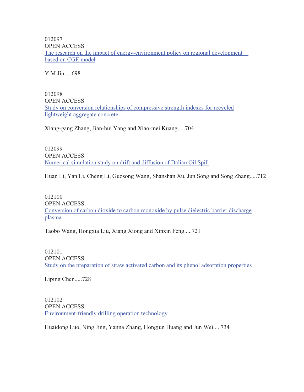012097 OPEN ACCESS The research on the impact of energy-environment policy on regional development based on CGE model

Y M Jin.....698

012098 OPEN ACCESS Study on conversion relationships of compressive strength indexes for recycled lightweight aggregate concrete

Xiang-gang Zhang, Jian-hui Yang and Xiao-mei Kuang.....704

012099 OPEN ACCESS Numerical simulation study on drift and diffusion of Dalian Oil Spill

Huan Li, Yan Li, Cheng Li, Guosong Wang, Shanshan Xu, Jun Song and Song Zhang.....712

012100 OPEN ACCESS Conversion of carbon dioxide to carbon monoxide by pulse dielectric barrier discharge plasma

Taobo Wang, Hongxia Liu, Xiang Xiong and Xinxin Feng.....721

012101 OPEN ACCESS Study on the preparation of straw activated carbon and its phenol adsorption properties

Liping Chen.....728

012102 OPEN ACCESS Environment-friendly drilling operation technology

Huaidong Luo, Ning Jing, Yanna Zhang, Hongjun Huang and Jun Wei.....734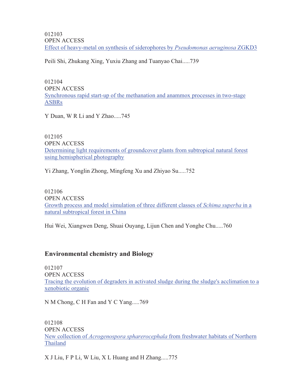OPEN ACCESS Effect of heavy-metal on synthesis of siderophores by *Pseudomonas aeruginosa* ZGKD3 012103

Peili Shi, Zhukang Xing, Yuxiu Zhang and Tuanyao Chai.....739

012104 OPEN ACCESS Synchronous rapid start-up of the methanation and anammox processes in two-stage ASBRs

Y Duan, W R Li and Y Zhao.....745

012105 OPEN ACCESS Determining light requirements of groundcover plants from subtropical natural forest using hemispherical photography

Yi Zhang, Yonglin Zhong, Mingfeng Xu and Zhiyao Su.....752

012106 OPEN ACCESS Growth process and model simulation of three different classes of *Schima superba* in a natural subtropical forest in China

Hui Wei, Xiangwen Deng, Shuai Ouyang, Lijun Chen and Yonghe Chu.....760

#### **Environmental chemistry and Biology**

012107 OPEN ACCESS Tracing the evolution of degraders in activated sludge during the sludge's acclimation to a xenobiotic organic

N M Chong, C H Fan and Y C Yang.....769

012108 OPEN ACCESS New collection of *Acrogenospora spharerocephala* from freshwater habitats of Northern Thailand

X J Liu, F P Li, W Liu, X L Huang and H Zhang.....775